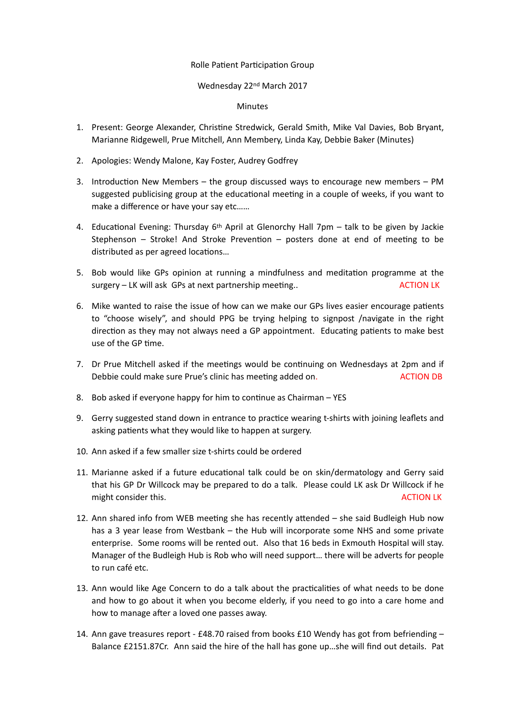## Rolle Patient Participation Group

## Wednesday 22nd March 2017

## Minutes

- 1. Present: George Alexander, Christine Stredwick, Gerald Smith, Mike Val Davies, Bob Bryant, Marianne Ridgewell, Prue Mitchell, Ann Membery, Linda Kay, Debbie Baker (Minutes)
- 2. Apologies: Wendy Malone, Kay Foster, Audrey Godfrey
- 3. Introduction New Members the group discussed ways to encourage new members PM suggested publicising group at the educational meeting in a couple of weeks, if you want to make a difference or have your say etc……
- 4. Educational Evening: Thursday 6<sup>th</sup> April at Glenorchy Hall 7pm talk to be given by Jackie Stephenson – Stroke! And Stroke Prevention – posters done at end of meeting to be distributed as per agreed locations...
- 5. Bob would like GPs opinion at running a mindfulness and meditation programme at the surgery – LK will ask GPs at next partnership meeting.. ACTION LK
- 6. Mike wanted to raise the issue of how can we make our GPs lives easier encourage patients to "choose wisely", and should PPG be trying helping to signpost /navigate in the right direction as they may not always need a GP appointment. Educating patients to make best use of the GP time.
- 7. Dr Prue Mitchell asked if the meetings would be continuing on Wednesdays at 2pm and if Debbie could make sure Prue's clinic has meeting added on. ACTION DB
- 8. Bob asked if everyone happy for him to continue as Chairman  $-$  YES
- 9. Gerry suggested stand down in entrance to practice wearing t-shirts with joining leaflets and asking patients what they would like to happen at surgery.
- 10. Ann asked if a few smaller size t-shirts could be ordered
- 11. Marianne asked if a future educational talk could be on skin/dermatology and Gerry said that his GP Dr Willcock may be prepared to do a talk. Please could LK ask Dr Willcock if he might consider this. ACTION LK
- 12. Ann shared info from WEB meeting she has recently attended  $-$  she said Budleigh Hub now has a 3 year lease from Westbank – the Hub will incorporate some NHS and some private enterprise. Some rooms will be rented out. Also that 16 beds in Exmouth Hospital will stay. Manager of the Budleigh Hub is Rob who will need support… there will be adverts for people to run café etc.
- 13. Ann would like Age Concern to do a talk about the practicalities of what needs to be done and how to go about it when you become elderly, if you need to go into a care home and how to manage after a loved one passes away.
- 14. Ann gave treasures report £48.70 raised from books £10 Wendy has got from befriending Balance £2151.87Cr. Ann said the hire of the hall has gone up…she will find out details. Pat